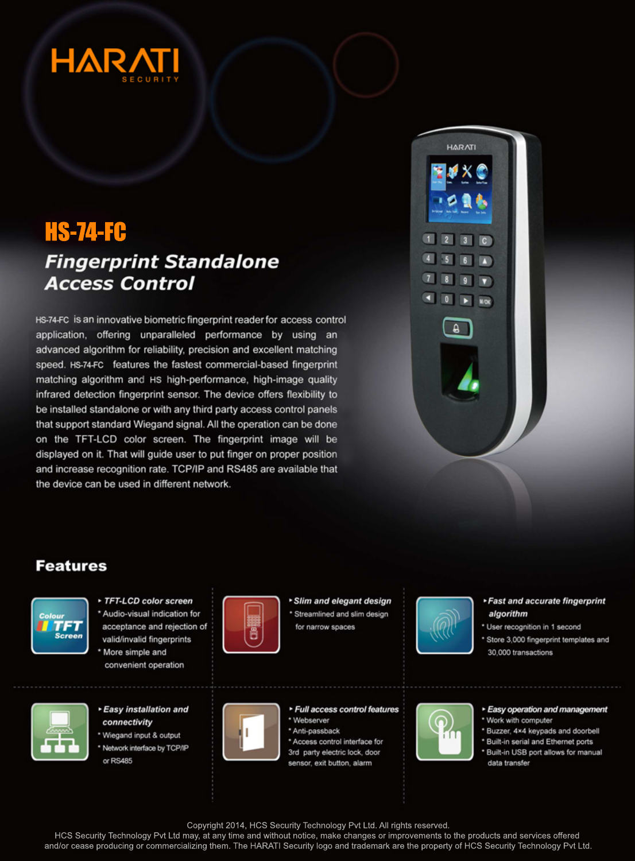

# **HS-74-FC**

# **Fingerprint Standalone Access Control**

HS-74-FC is an innovative biometric fingerprint reader for access control application, offering unparalleled performance by using an advanced algorithm for reliability, precision and excellent matching speed. HS-74-FC features the fastest commercial-based fingerprint matching algorithm and HS high-performance, high-image quality infrared detection fingerprint sensor. The device offers flexibility to be installed standalone or with any third party access control panels that support standard Wiegand signal. All the operation can be done on the TFT-LCD color screen. The fingerprint image will be displayed on it. That will guide user to put finger on proper position and increase recognition rate. TCP/IP and RS485 are available that the device can be used in different network.



### **Features**



TFT-LCD color screen \* Audio-visual indication for acceptance and rejection of valid/invalid fingerprints \* More simple and convenient operation



### ▶ Easy installation and connectivity

\* Wiegand input & output \* Network interface by TCP/IP or RS485



Slim and elegant design \* Streamlined and slim design for narrow spaces

▶ Full access control features

\* Access control interface for

3rd party electric lock, door

sensor, exit button, alarm



- ▶ Fast and accurate fingerprint algorithm
- \* User recognition in 1 second
- \* Store 3,000 fingerprint templates and 30,000 transactions



#### Easy operation and management

- \* Work with computer
- \* Buzzer, 4×4 keypads and doorbell
- \* Built-in serial and Ethernet ports \* Built-in USB port allows for manual data transfer
- Copyright 2014, HCS Security Technology Pvt Ltd. All rights reserved.

\* Webserver

\* Anti-passback

HCS Security Technology Pvt Ltd may, at any time and without notice, make changes or improvements to the products and services offered and/or cease producing or commercializing them. The HARATI Security logo and trademark are the property of HCS Security Technology Pvt Ltd.